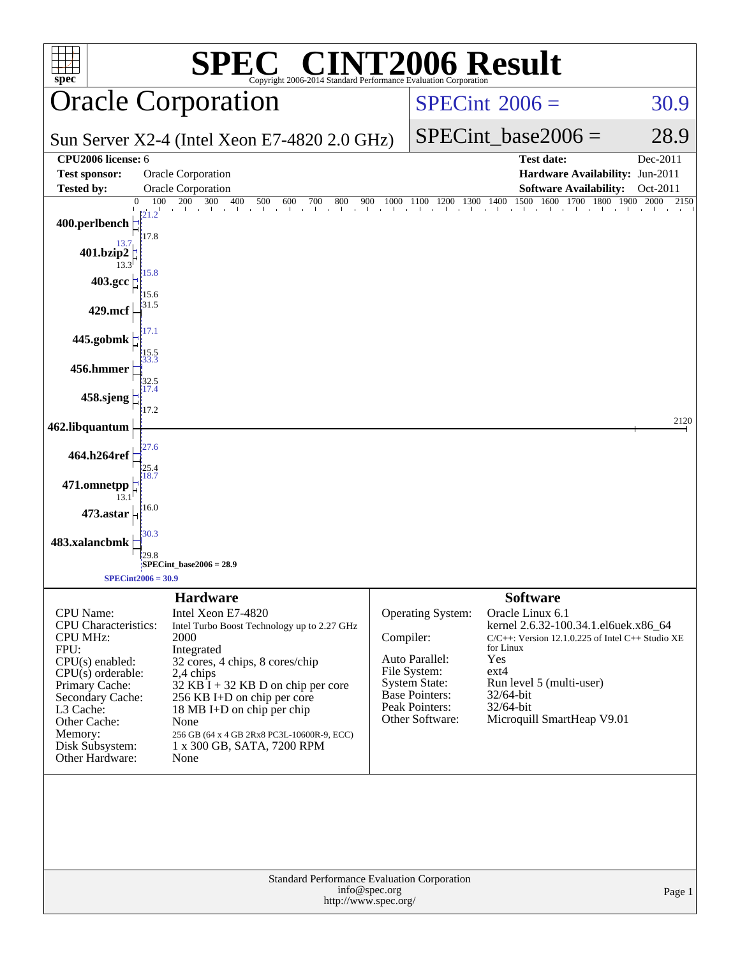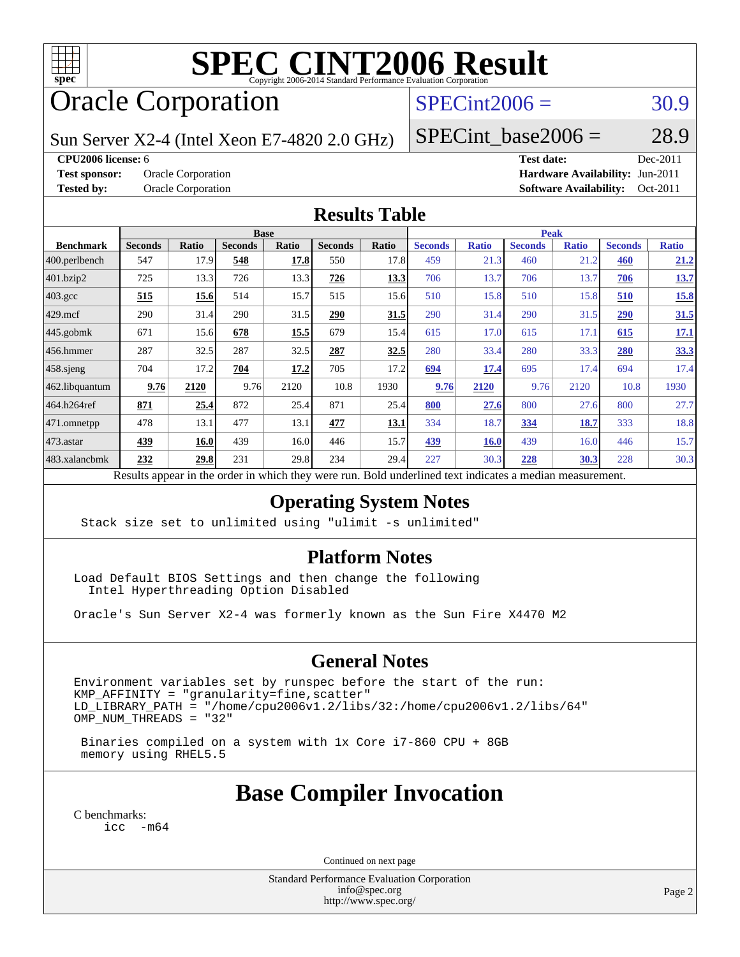

# **[SPEC CINT2006 Result](http://www.spec.org/auto/cpu2006/Docs/result-fields.html#SPECCINT2006Result)**

## Oracle Corporation

## $SPECint2006 = 30.9$  $SPECint2006 = 30.9$

Sun Server X2-4 (Intel Xeon E7-4820 2.0 GHz)

 $SPECTnt\_base2006 = 28.9$ 

#### **[CPU2006 license:](http://www.spec.org/auto/cpu2006/Docs/result-fields.html#CPU2006license)** 6 **[Test date:](http://www.spec.org/auto/cpu2006/Docs/result-fields.html#Testdate)** Dec-2011

**[Test sponsor:](http://www.spec.org/auto/cpu2006/Docs/result-fields.html#Testsponsor)** Oracle Corporation **[Hardware Availability:](http://www.spec.org/auto/cpu2006/Docs/result-fields.html#HardwareAvailability)** Jun-2011 **[Tested by:](http://www.spec.org/auto/cpu2006/Docs/result-fields.html#Testedby)** Oracle Corporation **[Software Availability:](http://www.spec.org/auto/cpu2006/Docs/result-fields.html#SoftwareAvailability)** Oct-2011

#### **[Results Table](http://www.spec.org/auto/cpu2006/Docs/result-fields.html#ResultsTable)**

|                  | <b>Base</b>                                                                                              |              |                |       |                |       | <b>Peak</b>    |              |                |              |                |              |
|------------------|----------------------------------------------------------------------------------------------------------|--------------|----------------|-------|----------------|-------|----------------|--------------|----------------|--------------|----------------|--------------|
| <b>Benchmark</b> | <b>Seconds</b>                                                                                           | <b>Ratio</b> | <b>Seconds</b> | Ratio | <b>Seconds</b> | Ratio | <b>Seconds</b> | <b>Ratio</b> | <b>Seconds</b> | <b>Ratio</b> | <b>Seconds</b> | <b>Ratio</b> |
| 400.perlbench    | 547                                                                                                      | 17.9         | 548            | 17.8  | 550            | 17.8  | 459            | 21.3         | 460            | 21.2         | 460            | 21.2         |
| 401.bzip2        | 725                                                                                                      | 13.3         | 726            | 13.3  | 726            | 13.3  | 706            | 13.7         | 706            | 13.7         | 706            | 13.7         |
| $403.\text{gcc}$ | 515                                                                                                      | 15.6         | 514            | 15.7  | 515            | 15.6  | 510            | 15.8         | 510            | 15.8         | 510            | 15.8         |
| $429$ .mcf       | 290                                                                                                      | 31.4         | 290            | 31.5  | 290            | 31.5  | 290            | 31.4         | 290            | 31.5         | <b>290</b>     | 31.5         |
| $445$ .gobmk     | 671                                                                                                      | 15.6         | 678            | 15.5  | 679            | 15.4  | 615            | 17.0         | 615            | 17.1         | 615            | 17.1         |
| $456.$ hmmer     | 287                                                                                                      | 32.5         | 287            | 32.5  | 287            | 32.5  | 280            | 33.4         | 280            | 33.3         | 280            | 33.3         |
| $458$ sjeng      | 704                                                                                                      | 17.2         | 704            | 17.2  | 705            | 17.2  | 694            | 17.4         | 695            | 17.4         | 694            | 17.4         |
| 462.libquantum   | 9.76                                                                                                     | 2120         | 9.76           | 2120  | 10.8           | 1930  | 9.76           | 2120         | 9.76           | 2120         | 10.8           | 1930         |
| 464.h264ref      | 871                                                                                                      | 25.4         | 872            | 25.4  | 871            | 25.4  | 800            | 27.6         | 800            | 27.6         | 800            | 27.7         |
| 471.omnetpp      | 478                                                                                                      | 13.1         | 477            | 13.1  | 477            | 13.1  | 334            | 18.7         | 334            | 18.7         | 333            | 18.8         |
| $473$ . astar    | 439                                                                                                      | 16.0         | 439            | 16.0  | 446            | 15.7  | 439            | <b>16.0</b>  | 439            | 16.0         | 446            | 15.7         |
| 483.xalancbmk    | 232                                                                                                      | 29.8         | 231            | 29.8  | 234            | 29.4  | 227            | 30.3         | 228            | 30.3         | 228            | 30.3         |
|                  | Results appear in the order in which they were run. Bold underlined text indicates a median measurement. |              |                |       |                |       |                |              |                |              |                |              |

### **[Operating System Notes](http://www.spec.org/auto/cpu2006/Docs/result-fields.html#OperatingSystemNotes)**

Stack size set to unlimited using "ulimit -s unlimited"

#### **[Platform Notes](http://www.spec.org/auto/cpu2006/Docs/result-fields.html#PlatformNotes)**

Load Default BIOS Settings and then change the following Intel Hyperthreading Option Disabled

Oracle's Sun Server X2-4 was formerly known as the Sun Fire X4470 M2

### **[General Notes](http://www.spec.org/auto/cpu2006/Docs/result-fields.html#GeneralNotes)**

Environment variables set by runspec before the start of the run:  $KMP_A$ FFINITY = "granularity=fine, scatter" LD\_LIBRARY\_PATH = "/home/cpu2006v1.2/libs/32:/home/cpu2006v1.2/libs/64" OMP\_NUM\_THREADS = "32"

 Binaries compiled on a system with 1x Core i7-860 CPU + 8GB memory using RHEL5.5

## **[Base Compiler Invocation](http://www.spec.org/auto/cpu2006/Docs/result-fields.html#BaseCompilerInvocation)**

[C benchmarks](http://www.spec.org/auto/cpu2006/Docs/result-fields.html#Cbenchmarks): [icc -m64](http://www.spec.org/cpu2006/results/res2012q3/cpu2006-20120710-23568.flags.html#user_CCbase_intel_icc_64bit_f346026e86af2a669e726fe758c88044)

Continued on next page

Standard Performance Evaluation Corporation [info@spec.org](mailto:info@spec.org) <http://www.spec.org/>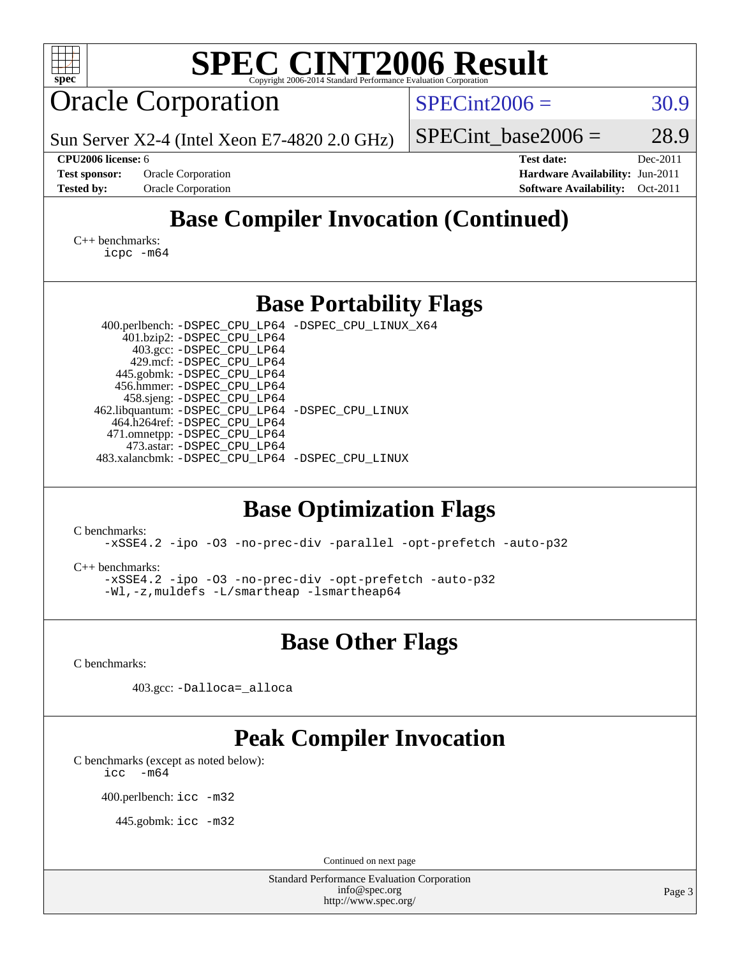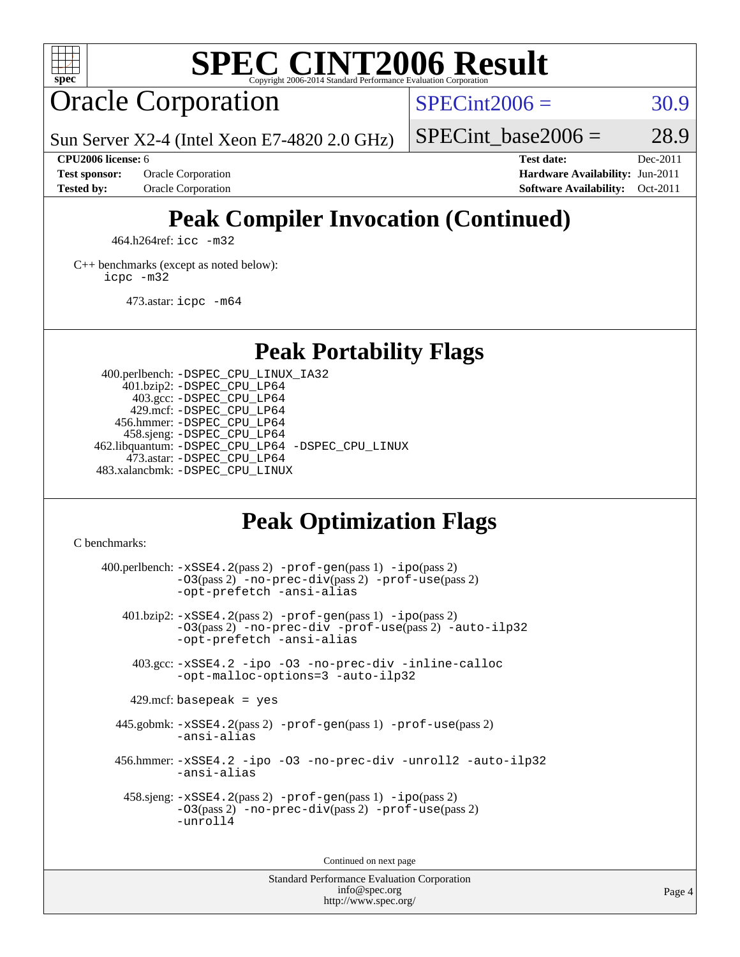

## **[SPEC CINT2006 Result](http://www.spec.org/auto/cpu2006/Docs/result-fields.html#SPECCINT2006Result)**

Oracle Corporation

 $SPECint2006 = 30.9$  $SPECint2006 = 30.9$ 

Sun Server X2-4 (Intel Xeon E7-4820 2.0 GHz)

**[CPU2006 license:](http://www.spec.org/auto/cpu2006/Docs/result-fields.html#CPU2006license)** 6 **[Test date:](http://www.spec.org/auto/cpu2006/Docs/result-fields.html#Testdate)** Dec-2011

**[Test sponsor:](http://www.spec.org/auto/cpu2006/Docs/result-fields.html#Testsponsor)** Oracle Corporation **[Hardware Availability:](http://www.spec.org/auto/cpu2006/Docs/result-fields.html#HardwareAvailability)** Jun-2011

SPECint base2006 =  $28.9$ 

**[Tested by:](http://www.spec.org/auto/cpu2006/Docs/result-fields.html#Testedby)** Oracle Corporation **[Software Availability:](http://www.spec.org/auto/cpu2006/Docs/result-fields.html#SoftwareAvailability)** Oct-2011

## **[Peak Compiler Invocation \(Continued\)](http://www.spec.org/auto/cpu2006/Docs/result-fields.html#PeakCompilerInvocation)**

464.h264ref: [icc -m32](http://www.spec.org/cpu2006/results/res2012q3/cpu2006-20120710-23568.flags.html#user_peakCCLD464_h264ref_intel_icc_a6a621f8d50482236b970c6ac5f55f93)

[C++ benchmarks \(except as noted below\):](http://www.spec.org/auto/cpu2006/Docs/result-fields.html#CXXbenchmarksexceptasnotedbelow) [icpc -m32](http://www.spec.org/cpu2006/results/res2012q3/cpu2006-20120710-23568.flags.html#user_CXXpeak_intel_icpc_4e5a5ef1a53fd332b3c49e69c3330699)

473.astar: [icpc -m64](http://www.spec.org/cpu2006/results/res2012q3/cpu2006-20120710-23568.flags.html#user_peakCXXLD473_astar_intel_icpc_64bit_fc66a5337ce925472a5c54ad6a0de310)

**[Peak Portability Flags](http://www.spec.org/auto/cpu2006/Docs/result-fields.html#PeakPortabilityFlags)**

 400.perlbench: [-DSPEC\\_CPU\\_LINUX\\_IA32](http://www.spec.org/cpu2006/results/res2012q3/cpu2006-20120710-23568.flags.html#b400.perlbench_peakCPORTABILITY_DSPEC_CPU_LINUX_IA32) 401.bzip2: [-DSPEC\\_CPU\\_LP64](http://www.spec.org/cpu2006/results/res2012q3/cpu2006-20120710-23568.flags.html#suite_peakPORTABILITY401_bzip2_DSPEC_CPU_LP64) 403.gcc: [-DSPEC\\_CPU\\_LP64](http://www.spec.org/cpu2006/results/res2012q3/cpu2006-20120710-23568.flags.html#suite_peakPORTABILITY403_gcc_DSPEC_CPU_LP64) 429.mcf: [-DSPEC\\_CPU\\_LP64](http://www.spec.org/cpu2006/results/res2012q3/cpu2006-20120710-23568.flags.html#suite_peakPORTABILITY429_mcf_DSPEC_CPU_LP64) 456.hmmer: [-DSPEC\\_CPU\\_LP64](http://www.spec.org/cpu2006/results/res2012q3/cpu2006-20120710-23568.flags.html#suite_peakPORTABILITY456_hmmer_DSPEC_CPU_LP64) 458.sjeng: [-DSPEC\\_CPU\\_LP64](http://www.spec.org/cpu2006/results/res2012q3/cpu2006-20120710-23568.flags.html#suite_peakPORTABILITY458_sjeng_DSPEC_CPU_LP64) 462.libquantum: [-DSPEC\\_CPU\\_LP64](http://www.spec.org/cpu2006/results/res2012q3/cpu2006-20120710-23568.flags.html#suite_peakPORTABILITY462_libquantum_DSPEC_CPU_LP64) [-DSPEC\\_CPU\\_LINUX](http://www.spec.org/cpu2006/results/res2012q3/cpu2006-20120710-23568.flags.html#b462.libquantum_peakCPORTABILITY_DSPEC_CPU_LINUX) 473.astar: [-DSPEC\\_CPU\\_LP64](http://www.spec.org/cpu2006/results/res2012q3/cpu2006-20120710-23568.flags.html#suite_peakPORTABILITY473_astar_DSPEC_CPU_LP64) 483.xalancbmk: [-DSPEC\\_CPU\\_LINUX](http://www.spec.org/cpu2006/results/res2012q3/cpu2006-20120710-23568.flags.html#b483.xalancbmk_peakCXXPORTABILITY_DSPEC_CPU_LINUX)

## **[Peak Optimization Flags](http://www.spec.org/auto/cpu2006/Docs/result-fields.html#PeakOptimizationFlags)**

[C benchmarks](http://www.spec.org/auto/cpu2006/Docs/result-fields.html#Cbenchmarks):

 400.perlbench: [-xSSE4.2](http://www.spec.org/cpu2006/results/res2012q3/cpu2006-20120710-23568.flags.html#user_peakPASS2_CFLAGSPASS2_LDCFLAGS400_perlbench_f-xSSE42_f91528193cf0b216347adb8b939d4107)(pass 2) [-prof-gen](http://www.spec.org/cpu2006/results/res2012q3/cpu2006-20120710-23568.flags.html#user_peakPASS1_CFLAGSPASS1_LDCFLAGS400_perlbench_prof_gen_e43856698f6ca7b7e442dfd80e94a8fc)(pass 1) [-ipo](http://www.spec.org/cpu2006/results/res2012q3/cpu2006-20120710-23568.flags.html#user_peakPASS2_CFLAGSPASS2_LDCFLAGS400_perlbench_f-ipo)(pass 2) [-O3](http://www.spec.org/cpu2006/results/res2012q3/cpu2006-20120710-23568.flags.html#user_peakPASS2_CFLAGSPASS2_LDCFLAGS400_perlbench_f-O3)(pass 2) [-no-prec-div](http://www.spec.org/cpu2006/results/res2012q3/cpu2006-20120710-23568.flags.html#user_peakPASS2_CFLAGSPASS2_LDCFLAGS400_perlbench_f-no-prec-div)(pass 2) [-prof-use](http://www.spec.org/cpu2006/results/res2012q3/cpu2006-20120710-23568.flags.html#user_peakPASS2_CFLAGSPASS2_LDCFLAGS400_perlbench_prof_use_bccf7792157ff70d64e32fe3e1250b55)(pass 2) [-opt-prefetch](http://www.spec.org/cpu2006/results/res2012q3/cpu2006-20120710-23568.flags.html#user_peakCOPTIMIZE400_perlbench_f-opt-prefetch) [-ansi-alias](http://www.spec.org/cpu2006/results/res2012q3/cpu2006-20120710-23568.flags.html#user_peakCOPTIMIZE400_perlbench_f-ansi-alias) 401.bzip2: [-xSSE4.2](http://www.spec.org/cpu2006/results/res2012q3/cpu2006-20120710-23568.flags.html#user_peakPASS2_CFLAGSPASS2_LDCFLAGS401_bzip2_f-xSSE42_f91528193cf0b216347adb8b939d4107)(pass 2) [-prof-gen](http://www.spec.org/cpu2006/results/res2012q3/cpu2006-20120710-23568.flags.html#user_peakPASS1_CFLAGSPASS1_LDCFLAGS401_bzip2_prof_gen_e43856698f6ca7b7e442dfd80e94a8fc)(pass 1) [-ipo](http://www.spec.org/cpu2006/results/res2012q3/cpu2006-20120710-23568.flags.html#user_peakPASS2_CFLAGSPASS2_LDCFLAGS401_bzip2_f-ipo)(pass 2) [-O3](http://www.spec.org/cpu2006/results/res2012q3/cpu2006-20120710-23568.flags.html#user_peakPASS2_CFLAGSPASS2_LDCFLAGS401_bzip2_f-O3)(pass 2) [-no-prec-div](http://www.spec.org/cpu2006/results/res2012q3/cpu2006-20120710-23568.flags.html#user_peakCOPTIMIZEPASS2_CFLAGSPASS2_LDCFLAGS401_bzip2_f-no-prec-div) [-prof-use](http://www.spec.org/cpu2006/results/res2012q3/cpu2006-20120710-23568.flags.html#user_peakPASS2_CFLAGSPASS2_LDCFLAGS401_bzip2_prof_use_bccf7792157ff70d64e32fe3e1250b55)(pass 2) [-auto-ilp32](http://www.spec.org/cpu2006/results/res2012q3/cpu2006-20120710-23568.flags.html#user_peakCOPTIMIZE401_bzip2_f-auto-ilp32) [-opt-prefetch](http://www.spec.org/cpu2006/results/res2012q3/cpu2006-20120710-23568.flags.html#user_peakCOPTIMIZE401_bzip2_f-opt-prefetch) [-ansi-alias](http://www.spec.org/cpu2006/results/res2012q3/cpu2006-20120710-23568.flags.html#user_peakCOPTIMIZE401_bzip2_f-ansi-alias) 403.gcc: [-xSSE4.2](http://www.spec.org/cpu2006/results/res2012q3/cpu2006-20120710-23568.flags.html#user_peakCOPTIMIZE403_gcc_f-xSSE42_f91528193cf0b216347adb8b939d4107) [-ipo](http://www.spec.org/cpu2006/results/res2012q3/cpu2006-20120710-23568.flags.html#user_peakCOPTIMIZE403_gcc_f-ipo) [-O3](http://www.spec.org/cpu2006/results/res2012q3/cpu2006-20120710-23568.flags.html#user_peakCOPTIMIZE403_gcc_f-O3) [-no-prec-div](http://www.spec.org/cpu2006/results/res2012q3/cpu2006-20120710-23568.flags.html#user_peakCOPTIMIZE403_gcc_f-no-prec-div) [-inline-calloc](http://www.spec.org/cpu2006/results/res2012q3/cpu2006-20120710-23568.flags.html#user_peakCOPTIMIZE403_gcc_f-inline-calloc) [-opt-malloc-options=3](http://www.spec.org/cpu2006/results/res2012q3/cpu2006-20120710-23568.flags.html#user_peakCOPTIMIZE403_gcc_f-opt-malloc-options_13ab9b803cf986b4ee62f0a5998c2238) [-auto-ilp32](http://www.spec.org/cpu2006/results/res2012q3/cpu2006-20120710-23568.flags.html#user_peakCOPTIMIZE403_gcc_f-auto-ilp32)  $429$ .mcf: basepeak = yes 445.gobmk: [-xSSE4.2](http://www.spec.org/cpu2006/results/res2012q3/cpu2006-20120710-23568.flags.html#user_peakPASS2_CFLAGSPASS2_LDCFLAGS445_gobmk_f-xSSE42_f91528193cf0b216347adb8b939d4107)(pass 2) [-prof-gen](http://www.spec.org/cpu2006/results/res2012q3/cpu2006-20120710-23568.flags.html#user_peakPASS1_CFLAGSPASS1_LDCFLAGS445_gobmk_prof_gen_e43856698f6ca7b7e442dfd80e94a8fc)(pass 1) [-prof-use](http://www.spec.org/cpu2006/results/res2012q3/cpu2006-20120710-23568.flags.html#user_peakPASS2_CFLAGSPASS2_LDCFLAGS445_gobmk_prof_use_bccf7792157ff70d64e32fe3e1250b55)(pass 2) [-ansi-alias](http://www.spec.org/cpu2006/results/res2012q3/cpu2006-20120710-23568.flags.html#user_peakCOPTIMIZE445_gobmk_f-ansi-alias) 456.hmmer: [-xSSE4.2](http://www.spec.org/cpu2006/results/res2012q3/cpu2006-20120710-23568.flags.html#user_peakCOPTIMIZE456_hmmer_f-xSSE42_f91528193cf0b216347adb8b939d4107) [-ipo](http://www.spec.org/cpu2006/results/res2012q3/cpu2006-20120710-23568.flags.html#user_peakCOPTIMIZE456_hmmer_f-ipo) [-O3](http://www.spec.org/cpu2006/results/res2012q3/cpu2006-20120710-23568.flags.html#user_peakCOPTIMIZE456_hmmer_f-O3) [-no-prec-div](http://www.spec.org/cpu2006/results/res2012q3/cpu2006-20120710-23568.flags.html#user_peakCOPTIMIZE456_hmmer_f-no-prec-div) [-unroll2](http://www.spec.org/cpu2006/results/res2012q3/cpu2006-20120710-23568.flags.html#user_peakCOPTIMIZE456_hmmer_f-unroll_784dae83bebfb236979b41d2422d7ec2) [-auto-ilp32](http://www.spec.org/cpu2006/results/res2012q3/cpu2006-20120710-23568.flags.html#user_peakCOPTIMIZE456_hmmer_f-auto-ilp32) [-ansi-alias](http://www.spec.org/cpu2006/results/res2012q3/cpu2006-20120710-23568.flags.html#user_peakCOPTIMIZE456_hmmer_f-ansi-alias) 458.sjeng: [-xSSE4.2](http://www.spec.org/cpu2006/results/res2012q3/cpu2006-20120710-23568.flags.html#user_peakPASS2_CFLAGSPASS2_LDCFLAGS458_sjeng_f-xSSE42_f91528193cf0b216347adb8b939d4107)(pass 2) [-prof-gen](http://www.spec.org/cpu2006/results/res2012q3/cpu2006-20120710-23568.flags.html#user_peakPASS1_CFLAGSPASS1_LDCFLAGS458_sjeng_prof_gen_e43856698f6ca7b7e442dfd80e94a8fc)(pass 1) [-ipo](http://www.spec.org/cpu2006/results/res2012q3/cpu2006-20120710-23568.flags.html#user_peakPASS2_CFLAGSPASS2_LDCFLAGS458_sjeng_f-ipo)(pass 2) [-O3](http://www.spec.org/cpu2006/results/res2012q3/cpu2006-20120710-23568.flags.html#user_peakPASS2_CFLAGSPASS2_LDCFLAGS458_sjeng_f-O3)(pass 2) [-no-prec-div](http://www.spec.org/cpu2006/results/res2012q3/cpu2006-20120710-23568.flags.html#user_peakPASS2_CFLAGSPASS2_LDCFLAGS458_sjeng_f-no-prec-div)(pass 2) [-prof-use](http://www.spec.org/cpu2006/results/res2012q3/cpu2006-20120710-23568.flags.html#user_peakPASS2_CFLAGSPASS2_LDCFLAGS458_sjeng_prof_use_bccf7792157ff70d64e32fe3e1250b55)(pass 2) [-unroll4](http://www.spec.org/cpu2006/results/res2012q3/cpu2006-20120710-23568.flags.html#user_peakCOPTIMIZE458_sjeng_f-unroll_4e5e4ed65b7fd20bdcd365bec371b81f)

Continued on next page

Standard Performance Evaluation Corporation [info@spec.org](mailto:info@spec.org) <http://www.spec.org/>